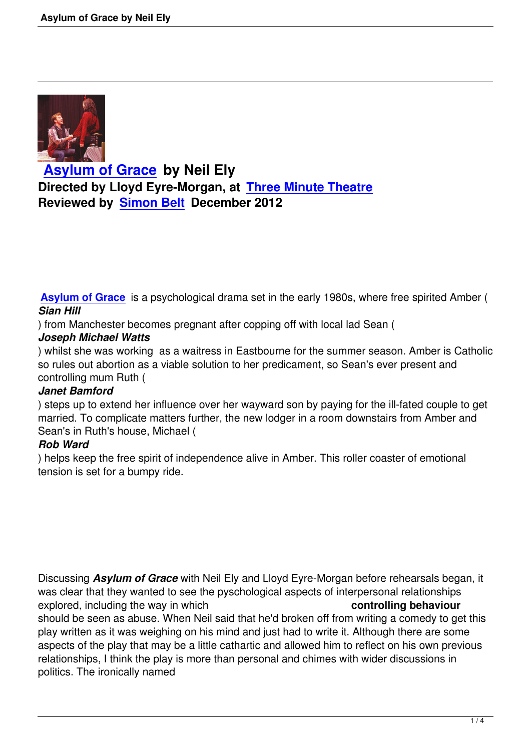

**Asylum of Grace by Neil Ely Directed by Lloyd Eyre-Morgan, at Three Minute Theatre [Reviewed by Simon](asylum-of-grace-neil-ely.html) Belt December 2012**

**Asylum of Grace** is a psychological drama set in the early 1980s, where free spirited Amber ( *Sian Hill*

) from Manchester becomes pregnant after copping off with local lad Sean (

## *[Joseph Michael W](http://www.asylumofgrace.co.uk)atts*

) whilst she was working as a waitress in Eastbourne for the summer season. Amber is Catholic so rules out abortion as a viable solution to her predicament, so Sean's ever present and controlling mum Ruth (

## *Janet Bamford*

) steps up to extend her influence over her wayward son by paying for the ill-fated couple to get married. To complicate matters further, the new lodger in a room downstairs from Amber and Sean's in Ruth's house, Michael (

# *Rob Ward*

) helps keep the free spirit of independence alive in Amber. This roller coaster of emotional tension is set for a bumpy ride.

Discussing *Asylum of Grace* with Neil Ely and Lloyd Eyre-Morgan before rehearsals began, it was clear that they wanted to see the pyschological aspects of interpersonal relationships explored, including the way in which **controlling behaviour** should be seen as abuse. When Neil said that he'd broken off from writing a comedy to get this play written as it was weighing on his mind and just had to write it. Although there are some aspects of the play that may be a little cathartic and allowed him to reflect on his own previous relationships, I think the play is more than personal and chimes with wider discussions in politics. The ironically named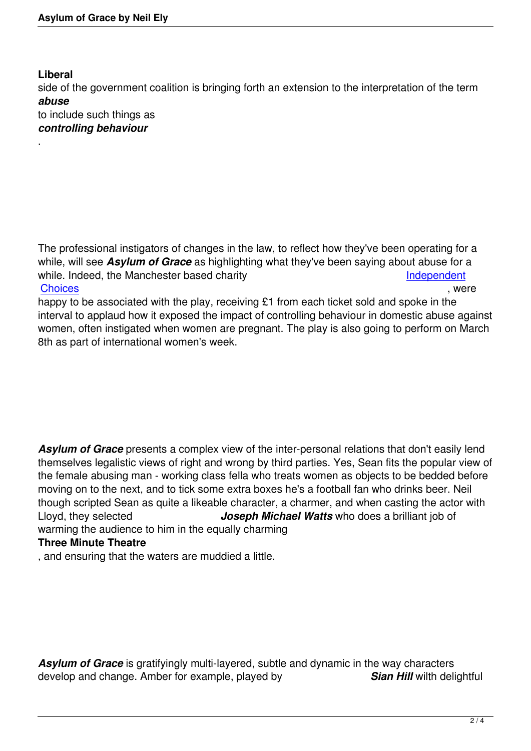# **Liberal**

.

side of the government coalition is bringing forth an extension to the interpretation of the term *abuse*

to include such things as *controlling behaviour*

The professional instigators of changes in the law, to reflect how they've been operating for a while, will see *Asylum of Grace* as highlighting what they've been saying about abuse for a while. Indeed, the Manchester based charity **Independent** <u>Choices</u> , were

happy to be associated with the play, receiving £1 from each ticket sold and spoke in the interval to applaud how it exposed the impact of controlling behaviour in dom[estic abuse ag](http://www.wdachoices.org.uk)ainst [women, o](http://www.wdachoices.org.uk)ften instigated when women are pregnant. The play is also going to perform on March 8th as part of international women's week.

*Asylum of Grace* presents a complex view of the inter-personal relations that don't easily lend themselves legalistic views of right and wrong by third parties. Yes, Sean fits the popular view of the female abusing man - working class fella who treats women as objects to be bedded before moving on to the next, and to tick some extra boxes he's a football fan who drinks beer. Neil though scripted Sean as quite a likeable character, a charmer, and when casting the actor with Lloyd, they selected *Joseph Michael Watts* who does a brilliant job of warming the audience to him in the equally charming

# **Three Minute Theatre**

, and ensuring that the waters are muddied a little.

*Asylum of Grace* is gratifyingly multi-layered, subtle and dynamic in the way characters develop and change. Amber for example, played by *Sian Hill* wilth delightful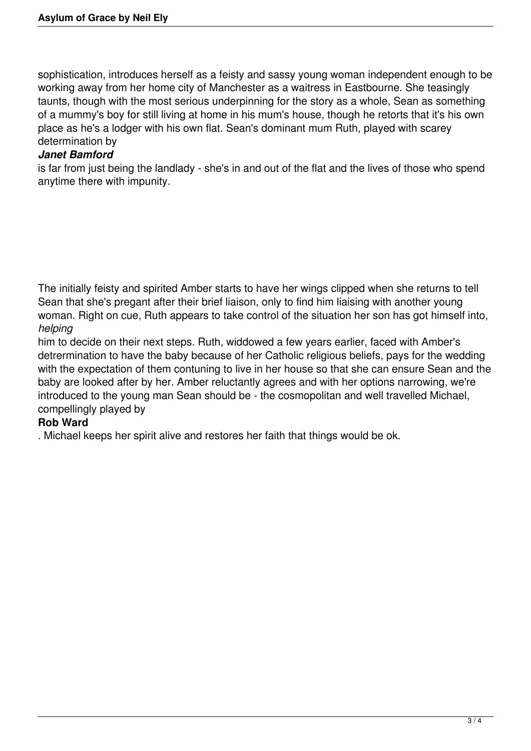sophistication, introduces herself as a feisty and sassy young woman independent enough to be working away from her home city of Manchester as a waitress in Eastbourne. She teasingly taunts, though with the most serious underpinning for the story as a whole, Sean as something of a mummy's boy for still living at home in his mum's house, though he retorts that it's his own place as he's a lodger with his own flat. Sean's dominant mum Ruth, played with scarey determination by

### *Janet Bamford*

is far from just being the landlady - she's in and out of the flat and the lives of those who spend anytime there with impunity.

The initially feisty and spirited Amber starts to have her wings clipped when she returns to tell Sean that she's pregant after their brief liaison, only to find him liaising with another young woman. Right on cue, Ruth appears to take control of the situation her son has got himself into, *helping*

him to decide on their next steps. Ruth, widdowed a few years earlier, faced with Amber's detrermination to have the baby because of her Catholic religious beliefs, pays for the wedding with the expectation of them contuning to live in her house so that she can ensure Sean and the baby are looked after by her. Amber reluctantly agrees and with her options narrowing, we're introduced to the young man Sean should be - the cosmopolitan and well travelled Michael, compellingly played by

### **Rob Ward**

. Michael keeps her spirit alive and restores her faith that things would be ok.